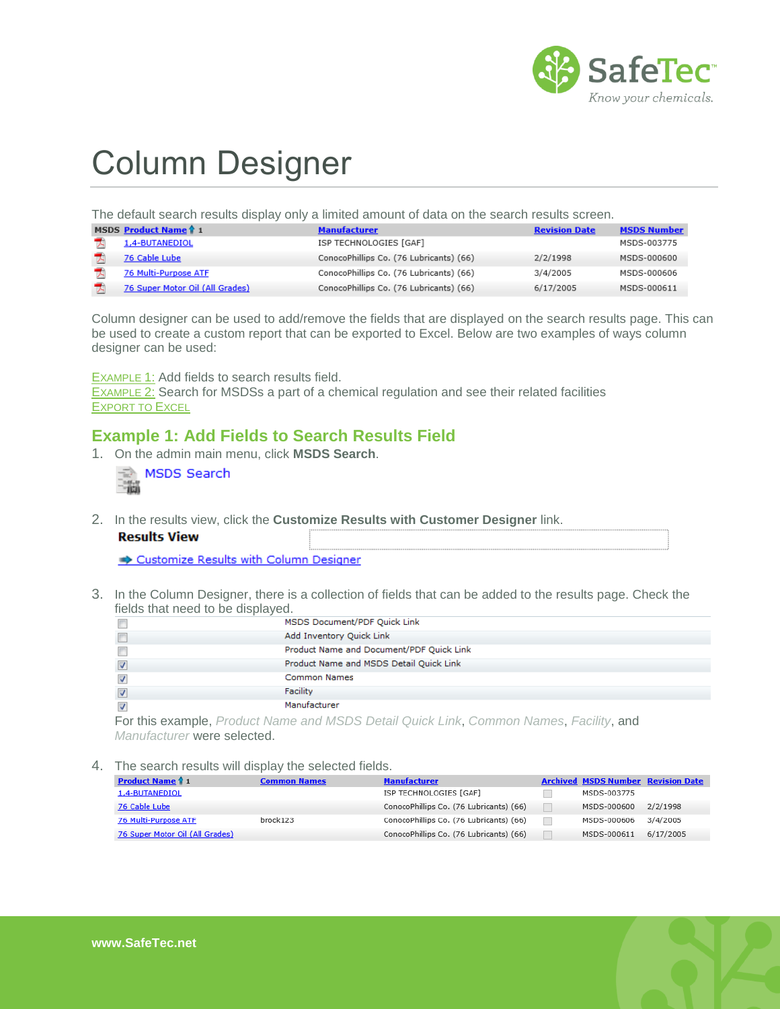

# Column Designer

The default search results display only a limited amount of data on the search results screen.

| <b>MSDS Product Name 1</b> 1    | <b>Manufacturer</b>                     | <b>Revision Date</b> | <b>MSDS Number</b> |
|---------------------------------|-----------------------------------------|----------------------|--------------------|
| 1,4-BUTANEDIOL                  | ISP TECHNOLOGIES [GAF]                  |                      | MSDS-003775        |
| 76 Cable Lube                   | ConocoPhillips Co. (76 Lubricants) (66) | 2/2/1998             | MSDS-000600        |
| <b>76 Multi-Purpose ATF</b>     | ConocoPhillips Co. (76 Lubricants) (66) | 3/4/2005             | MSDS-000606        |
| 76 Super Motor Oil (All Grades) | ConocoPhillips Co. (76 Lubricants) (66) | 6/17/2005            | MSDS-000611        |

Column designer can be used to add/remove the fields that are displayed on the search results page. This can be used to create a custom report that can be exported to Excel. Below are two examples of ways column designer can be used:

E[XAMPLE](#page-0-0) 1: Add fields to search results field.

E[XAMPLE](#page-1-0) 2: Search for MSDSs a part of a chemical regulation and see their related facilities **E[XPORT TO](#page-1-1) EXCEL** 

#### <span id="page-0-0"></span>**Example 1: Add Fields to Search Results Field**

1. On the admin main menu, click **MSDS Search**.

|  | ි MSDS Search |
|--|---------------|
|  |               |

2. In the results view, click the **Customize Results with Customer Designer** link.

|  | <b>Results View</b> |
|--|---------------------|
|  |                     |

Customize Results with Column Designer

3. In the Column Designer, there is a collection of fields that can be added to the results page. Check the fields that need to be displayed.

| MSDS Document/PDF Quick Link             |
|------------------------------------------|
| Add Inventory Quick Link                 |
| Product Name and Document/PDF Quick Link |
| Product Name and MSDS Detail Quick Link  |
| <b>Common Names</b>                      |
| Facility                                 |
| Manufacturer                             |

For this example, *Product Name and MSDS Detail Quick Link*, *Common Names*, *Facility*, and *Manufacturer* were selected.

4. The search results will display the selected fields.

| <b>Product Name 1</b> 1         | <b>Common Names</b> | <b>Manufacturer</b>                     | <b>Archived MSDS Number Revision Date</b> |          |
|---------------------------------|---------------------|-----------------------------------------|-------------------------------------------|----------|
| 1,4-BUTANEDIOL                  |                     | ISP TECHNOLOGIES [GAF]                  | MSDS-003775                               |          |
| 76 Cable Lube                   |                     | ConocoPhillips Co. (76 Lubricants) (66) | MSDS-000600                               | 2/2/1998 |
| 76 Multi-Purpose ATF            | brock123            | ConocoPhillips Co. (76 Lubricants) (66) | MSDS-000606                               | 3/4/2005 |
| 76 Super Motor Oil (All Grades) |                     | ConocoPhillips Co. (76 Lubricants) (66) | MSDS-000611 6/17/2005                     |          |